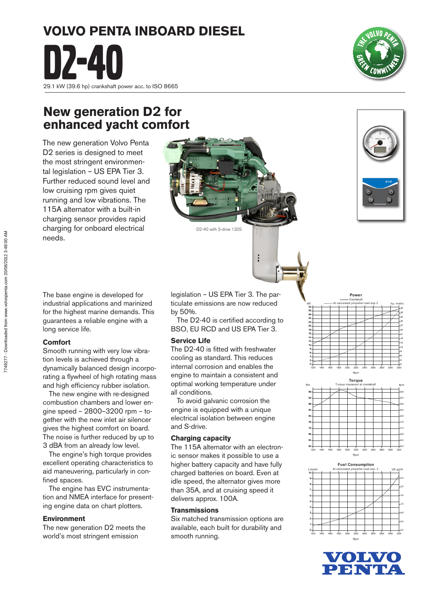# **VOLVO PENTA INBOARD DIESEL D2-40**<br>29.1 kW (39.6 hp) crankshaft power acc. to ISO 8665

## **New generation D2 for enhanced yacht comfort**

D2 series is designed to meet the most stringent environmental legislation – US EPA Tier 3. Further reduced sound level and low cruising rpm gives quiet running and low vibrations. The 115A alternator with a built-in charging sensor provides rapid charging for onboard electrical needs.

The base engine is developed for industrial applications and marinized for the highest marine demands. This guarantees a reliable engine with a

Smooth running with very low vibration levels is achieved through a dynamically balanced design incorporating a flywheel of high rotating mass and high efficiency rubber isolation. The new engine with re-designed combustion chambers and lower engine speed – 2800–3200 rpm – together with the new inlet air silencer gives the highest comfort on board. The noise is further reduced by up to 3 dBA from an already low level. The engine's high torque provides excellent operating characteristics to aid maneuvering, particularly in con-

 The engine has EVC instrumentation and NMEA interface for presenting engine data on chart plotters.

The new generation D2 meets the world's most stringent emission

long service life.

**Comfort**

fined spaces.

**Environment**

legislation – US EPA Tier 3. The particulate emissions are now reduced by 50%.

ŀ

D2-40 with S-drive 130S

 The D2-40 is certified according to BSO, EU RCD and US EPA Tier 3.

## **Service Life**

The D2-40 is fitted with freshwater cooling as standard. This reduces internal corrosion and enables the engine to maintain a consistent and optimal working temperature under all conditions.

 To avoid galvanic corrosion the engine is equipped with a unique electrical isolation between engine and S-drive.

## **Charging capacity**

The 115A alternator with an electronic sensor makes it possible to use a higher battery capacity and have fully charged batteries on board. Even at idle speed, the alternator gives more than 35A, and at cruising speed it delivers approx. 100A.

## **Transmissions**

Six matched transmission options are available, each built for durability and smooth running.





Power Crankshaft

-36



1200 1400 1600 1800 2000 2200 2400 2600 2800 3000 3200







The new generation Volvo Penta